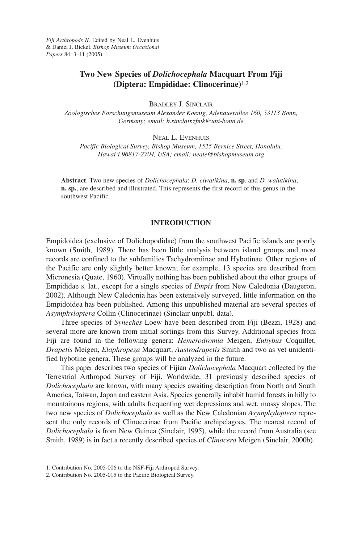*Fiji Arthropods II.* Edited by Neal L. Evenhuis & Daniel J. Bickel. *Bishop Museum Occasional Papers* 84: 3–11 (2005).

# **Two New Species of** *Dolichocephala* **Macquart From Fiji (Diptera: Empididae: Clinocerinae)**1,2

BRADLEY J. SINCLAIR

*Zoologisches Forschungsmuseum Alexander Koenig, Adenauerallee 160, 53113 Bonn, Germany; email: b.sinclair.zfmk@uni-bonn.de*

NEAL L. EVENHUIS

*Pacific Biological Survey, Bishop Museum, 1525 Bernice Street, Honolulu, Hawai'i 96817-2704, USA; email: neale@bishopmuseum.org*

**Abstract**. Two new species of *Dolichocephala*: *D. ciwatikina*, **n. sp**. and *D. walutikina*, **n. sp.**, are described and illustrated. This represents the first record of this genus in the southwest Pacific.

### **INTRODUCTION**

Empidoidea (exclusive of Dolichopodidae) from the southwest Pacific islands are poorly known (Smith, 1989). There has been little analysis between island groups and most records are confined to the subfamilies Tachydromiinae and Hybotinae. Other regions of the Pacific are only slightly better known; for example, 13 species are described from Micronesia (Quate, 1960). Virtually nothing has been published about the other groups of Empididae s. lat., except for a single species of *Empis* from New Caledonia (Daugeron, 2002). Although New Caledonia has been extensively surveyed, little information on the Empidoidea has been published. Among this unpublished material are several species of *Asymphyloptera* Collin (Clinocerinae) (Sinclair unpubl. data).

Three species of *Syneches* Loew have been described from Fiji (Bezzi, 1928) and several more are known from initial sortings from this Survey. Additional species from Fiji are found in the following genera: *Hemerodromia* Meigen, *Euhybus* Coquillet, *Drapetis* Meigen, *Elaphropeza* Macquart, *Austrodrapetis* Smith and two as yet unidentified hybotine genera. These groups will be analyzed in the future.

This paper describes two species of Fijian *Dolichocephala* Macquart collected by the Terrestrial Arthropod Survey of Fiji. Worldwide, 31 previously described species of *Dolichocephala* are known, with many species awaiting description from North and South America, Taiwan, Japan and eastern Asia. Species generally inhabit humid forests in hilly to mountainous regions, with adults frequenting wet depressions and wet, mossy slopes. The two new species of *Dolichocephala* as well as the New Caledonian *Asymphyloptera* represent the only records of Clinocerinae from Pacific archipelagoes. The nearest record of *Dolichocephala* is from New Guinea (Sinclair, 1995), while the record from Australia (see Smith, 1989) is in fact a recently described species of *Clinocera* Meigen (Sinclair, 2000b).

<sup>1.</sup> Contribution No. 2005-006 to the NSF-Fiji Arthropod Survey.

<sup>2.</sup> Contribution No. 2005-015 to the Pacific Biological Survey.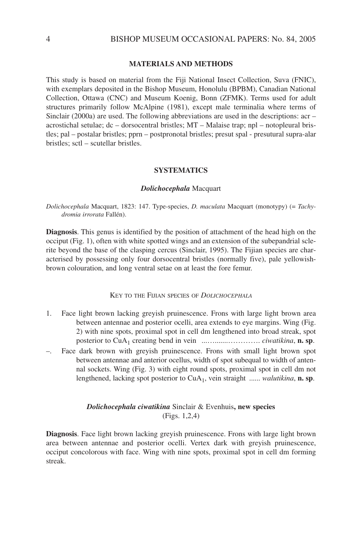#### **MATERIALS AND METHODS**

This study is based on material from the Fiji National Insect Collection, Suva (FNIC), with exemplars deposited in the Bishop Museum, Honolulu (BPBM), Canadian National Collection, Ottawa (CNC) and Museum Koenig, Bonn (ZFMK). Terms used for adult structures primarily follow McAlpine (1981), except male terminalia where terms of Sinclair (2000a) are used. The following abbreviations are used in the descriptions: acr – acrostichal setulae; dc – dorsocentral bristles; MT – Malaise trap; npl – notopleural bristles; pal – postalar bristles; pprn – postpronotal bristles; presut spal - presutural supra-alar bristles; sctl – scutellar bristles.

### **SYSTEMATICS**

### *Dolichocephala* Macquart

*Dolichocephala* Macquart, 1823: 147. Type-species, *D. maculata* Macquart (monotypy) (= *Tachydromia irrorata* Fallén).

**Diagnosis**. This genus is identified by the position of attachment of the head high on the occiput (Fig. 1), often with white spotted wings and an extension of the subepandrial sclerite beyond the base of the clasping cercus (Sinclair, 1995). The Fijian species are characterised by possessing only four dorsocentral bristles (normally five), pale yellowishbrown colouration, and long ventral setae on at least the fore femur.

### KEY TO THE FIJIAN SPECIES OF *DOLICHOCEPHALA*

- 1. Face light brown lacking greyish pruinescence. Frons with large light brown area between antennae and posterior ocelli, area extends to eye margins. Wing (Fig. 2) with nine spots, proximal spot in cell dm lengthened into broad streak, spot posterior to CuA<sub>1</sub> creating bend in vein .............................*ciwatikina*, **n. sp**.
- Face dark brown with greyish pruinescence. Frons with small light brown spot between antennae and anterior ocellus, width of spot subequal to width of antennal sockets. Wing (Fig. 3) with eight round spots, proximal spot in cell dm not lengthened, lacking spot posterior to CuA<sub>1</sub>, vein straight ...... *walutikina*, **n. sp**.

# *Dolichocephala ciwatikina* Sinclair & Evenhuis**, new species** (Figs. 1,2,4)

**Diagnosis**. Face light brown lacking greyish pruinescence. Frons with large light brown area between antennae and posterior ocelli. Vertex dark with greyish pruinescence, occiput concolorous with face. Wing with nine spots, proximal spot in cell dm forming streak.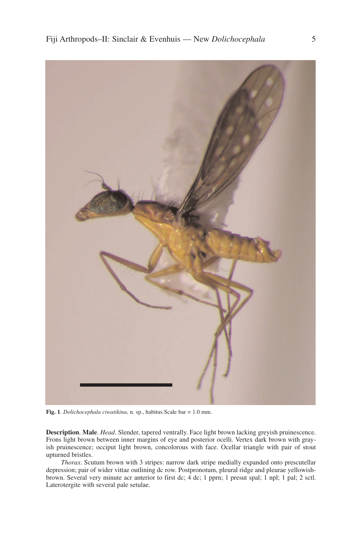

**Fig. 1**. *Dolichocephala ciwatikina*, n. sp., habitus.Scale bar = 1.0 mm.

**Description**. **Male**. *Head*. Slender, tapered ventrally. Face light brown lacking greyish pruinescence. Frons light brown between inner margins of eye and posterior ocelli. Vertex dark brown with grayish pruinescence; occiput light brown, concolorous with face. Ocellar triangle with pair of stout upturned bristles.

*Thorax*. Scutum brown with 3 stripes: narrow dark stripe medially expanded onto prescutellar depression; pair of wider vittae outlining dc row. Postpronotum, pleural ridge and pleurae yellowishbrown. Several very minute acr anterior to first dc; 4 dc; 1 pprn; 1 presut spal; 1 npl; 1 pal; 2 sctl. Laterotergite with several pale setulae.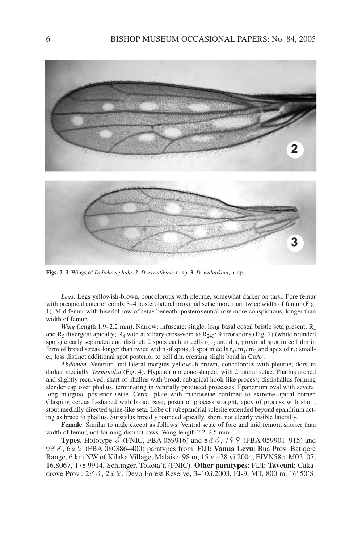

**Figs. 2–3**. Wings of *Dolichocephala*. **2**. *D*. *ciwatikina*, n. sp. **3**. *D*. *walutikina*, n. sp.

*Legs*. Legs yellowish-brown, concolorous with pleurae, somewhat darker on tarsi. Fore femur with preapical anterior comb; 3–4 posterolateral proximal setae more than twice width of femur (Fig. 1). Mid femur with biserial row of setae beneath, posteroventral row more conspicuous, longer than width of femur.

*Wing* (length 1.9–2.2 mm). Narrow; infuscate; single, long basal costal bristle seta present;  $R_4$ and  $R_5$  divergent apically;  $R_4$  with auxiliary cross-vein to  $R_{2+3}$ ; 9 irrorations (Fig. 2) (white rounded spots) clearly separated and distinct: 2 spots each in cells  $r_{2+3}$  and dm, proximal spot in cell dm in form of broad streak longer than twice width of spots; 1 spot in cells  $r_4$ ,  $m_1$ ,  $m_2$  and apex of  $r_5$ ; smaller, less distinct additional spot posterior to cell dm, creating slight bend in CuA1.

*Abdomen*. Ventrum and lateral margins yellowish-brown, concolorous with pleurae; dorsum darker medially. *Terminalia* (Fig. 4). Hypandrium cone-shaped, with 2 lateral setae. Phallus arched and slightly recurved; shaft of phallus with broad, subapical hook-like process; distiphallus forming slender cap over phallus, terminating in ventrally produced processes. Epandrium oval with several long marginal posterior setae. Cercal plate with macrosetae confined to extreme apical corner. Clasping cercus L-shaped with broad base; posterior process straight, apex of process with short, stout medially directed spine-like seta. Lobe of subepandrial sclerite extended beyond epandrium acting as brace to phallus. Surstylus broadly rounded apically, short, not clearly visible laterally.

**Female**. Similar to male except as follows: Ventral setae of fore and mid femora shorter than width of femur, not forming distinct rows. Wing length 2.2–2.5 mm.

**Types**. Holotype  $\delta$  (FNIC, FBA 059916) and  $8\delta\delta$ ,  $7\frac{9}{7}$  (FBA 059901–915) and 9 $\delta$   $\delta$ , 6 $\Omega$  (FBA 080386–400) paratypes from: FIJI: **Vanua Levu**: Bua Prov. Batiqere Range, 6 km NW of Kilaka Village, Malaise, 98 m, 15.vi–28.vi.2004, FJVN58c\_M02\_07, 16.8067, 178.9914, Schlinger, Tokota'a (FNIC). **Other paratypes**: FIJI: **Taveuni**: Cakadrove Prov.:  $2 \delta \delta$ ,  $2 \delta$ , Devo Forest Reserve, 3–10.i.2003, FJ-9, MT, 800 m, 16°50'S,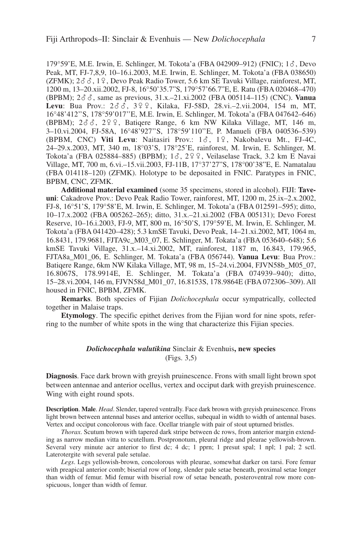179°59'E, M.E. Irwin, E. Schlinger, M. Tokota'a (FBA 042909–912) (FNIC);  $1\delta$ , Devo Peak, MT, FJ-7,8,9, 10–16.i.2003, M.E. Irwin, E. Schlinger, M. Tokota'a (FBA 038650) (ZFMK);  $2\delta\delta$ , 1 $\Omega$ , Devo Peak Radio Tower, 5.6 km SE Tavuki Village, rainforest, MT, 1200 m, 13–20.xii.2002, FJ-8, 16°50'35.7"S, 179°57'66.7"E, E. Ratu (FBA 020468–470) (BPBM);  $2\delta \delta$ , same as previous,  $31.x.-21.xi.2002$  (FBA 005114–115) (CNC). **Vanua** Levu: Bua Prov.:  $2 \delta \bar{\delta}$ ,  $3 \gamma \gamma$ , Kilaka, FJ-58D, 28.vi.–2.vii.2004, 154 m, MT, 16°48'412''S, 178°59'017''E, M.E. Irwin, E. Schlinger, M. Tokota'a (FBA 047642–646) (BPBM);  $2\delta\delta$ ,  $2\delta\delta$ , Batigere Range, 6 km NW Kilaka Village, MT, 146 m, 3–10.vi.2004, FJ-58A, 16°48'927''S, 178°59'110''E, P. Manueli (FBA 040536–539) (BPBM, CNC) Viti Levu: Naitasiri Prov.: 16, 19, Nakobalevu Mt., FJ-4C, 24–29.x.2003, MT, 340 m, 18°03'S, 178°25'E, rainforest, M. Irwin, E. Schlinger, M. Tokota'a (FBA 025884–885) (BPBM);  $1\delta$ ,  $2\sqrt{9}$ , Veilaselase Track, 3.2 km E Navai Village, MT, 700 m, 6.vi.–15.vii.2003, FJ-11B, 17°37'27"S, 178°00'38"E, E. Namatalau (FBA 014118–120) (ZFMK). Holotype to be deposaited in FNIC. Paratypes in FNIC, BPBM, CNC, ZFMK.

**Additional material examined** (some 35 specimens, stored in alcohol). FIJI: **Taveuni**: Cakadrove Prov.: Devo Peak Radio Tower, rainforest, MT, 1200 m, 25.ix–2.x.2002, FJ-8, 16°51'S, 179°58'E, M. Irwin, E. Schlinger, M. Tokota'a (FBA 012591–595); ditto, 10–17.x.2002 (FBA 005262–265); ditto, 31.x.–21.xi.2002 (FBA 005131); Devo Forest Reserve, 10–16.i.2003, FJ-9, MT, 800 m, 16°50'S, 179°59'E, M. Irwin, E. Schlinger, M. Tokota'a (FBA 041420–428); 5.3 kmSE Tavuki, Devo Peak, 14–21.xi.2002, MT, 1064 m, 16.8431, 179.9681, FJTA9c\_M03\_07, E. Schlinger, M. Tokata'a (FBA 053640–648); 5.6 kmSE Tavuki Village, 31.x.–14.xi.2002, MT, rainforest, 1187 m, 16.843, 179.965, FJTA8a\_M01\_06, E. Schlinger, M. Tokata'a (FBA 056744). **Vanua Levu**: Bua Prov.: Batiqere Range, 6km NW Kilaka Village, MT, 98 m, 15–24.vi.2004, FJVN58b\_M05\_07, 16.8067S, 178.9914E, E. Schlinger, M. Tokata'a (FBA 074939–940); ditto, 15–28.vi.2004, 146 m, FJVN58d\_M01\_07, 16.8153S, 178.9864E (FBA 072306–309). All housed in FNIC, BPBM, ZFMK.

**Remarks**. Both species of Fijian *Dolichocephala* occur sympatrically, collected together in Malaise traps.

**Etymology**. The specific epithet derives from the Fijian word for nine spots, referring to the number of white spots in the wing that characterize this Fijian species.

# *Dolichocephala walutikina* Sinclair & Evenhuis**, new species** (Figs. 3,5)

**Diagnosis**. Face dark brown with greyish pruinescence. Frons with small light brown spot between antennae and anterior ocellus, vertex and occiput dark with greyish pruinescence. Wing with eight round spots.

**Description**. **Male**. *Head*. Slender, tapered ventrally. Face dark brown with greyish pruinescence. Frons light brown between antennal bases and anterior ocellus, subequal in width to width of antennal bases. Vertex and occiput concolorous with face. Ocellar triangle with pair of stout upturned bristles.

*Thorax*. Scutum brown with tapered dark stripe between dc rows, from anterior margin extending as narrow median vitta to scutellum. Postpronotum, pleural ridge and pleurae yellowish-brown. Several very minute acr anterior to first dc; 4 dc; 1 pprn; 1 presut spal; 1 npl; 1 pal; 2 sctl. Laterotergite with several pale setulae.

*Legs*. Legs yellowish-brown, concolorous with pleurae, somewhat darker on tarsi. Fore femur with preapical anterior comb; biserial row of long, slender pale setae beneath, proximal setae longer than width of femur. Mid femur with biserial row of setae beneath, posteroventral row more conspicuous, longer than width of femur.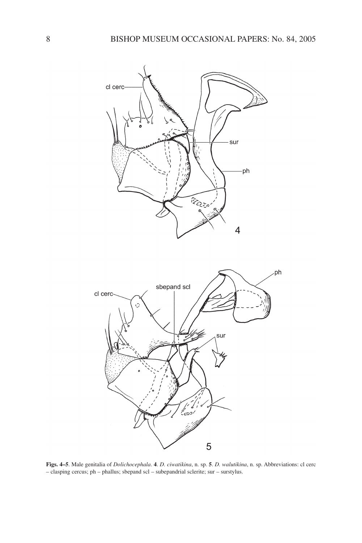

**Figs. 4–5**. Male genitalia of *Dolichocephala*. **4**. *D. ciwatikina*, n. sp. **5**. *D. walutikina*, n. sp. Abbreviations: cl cerc – clasping cercus; ph – phallus; sbepand scl – subepandrial sclerite; sur – surstylus.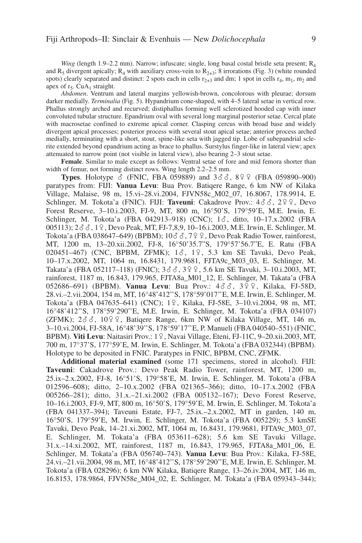*Wing* (length 1.9–2.2 mm). Narrow; infuscate; single, long basal costal bristle seta present; R<sub>4</sub> and  $R_5$  divergent apically;  $R_4$  with auxiliary cross-vein to  $R_{2+3}$ ; 8 irrorations (Fig. 3) (white rounded spots) clearly separated and distinct: 2 spots each in cells  $r_{2+3}$  and dm; 1 spot in cells  $r_4$ ,  $m_1$ ,  $m_2$  and apex of  $r_5$ . CuA<sub>1</sub> straight.

*Abdomen*. Ventrum and lateral margins yellowish-brown, concolorous with pleurae; dorsum darker medially. *Terminalia* (Fig. 5). Hypandrium cone-shaped, with 4–5 lateral setae in vertical row. Phallus strongly arched and recurved; distiphallus forming well sclerotized hooded cap with inner convoluted tubular structure. Epandrium oval with several long marginal posterior setae. Cercal plate with macrosetae confined to extreme apical corner. Clasping cercus with broad base and widely divergent apical processes; posterior process with several stout apical setae; anterior process arched medially, terminating with a short, stout, spine-like seta with jagged tip. Lobe of subepandrial sclerite extended beyond epandrium acting as brace to phallus. Surstylus finger-like in lateral view; apex attenuated to narrow point (not visible in lateral view), also bearing 2–3 stout setae.

**Female**. Similar to male except as follows: Ventral setae of fore and mid femora shorter than width of femur, not forming distinct rows. Wing length 2.2–2.5 mm.

**Types**. Holotype  $\delta$  (FNIC, FBA 059889) and  $3\delta\delta$ , 899 (FBA 059890-900) paratypes from: FIJI: **Vanua Levu**: Bua Prov. Batiqere Range, 6 km NW of Kilaka Village, Malaise, 98 m, 15.vi–28.vi.2004, FJVN58c\_M02\_07, 16.8067, 178.9914, E. Schlinger, M. Tokota'a (FNIC). FIJI: Taveuni: Cakadrove Prov.: 466, 299, Devo Forest Reserve, 3–10.i.2003, FJ-9, MT, 800 m, 16°50'S, 179°59'E, M.E. Irwin, E. Schlinger, M. Tokota'a (FBA 042913-918) (CNC);  $1\delta$ , ditto,  $10-17.x.2002$  (FBA 005113); 2 $\delta$   $\delta$ , 1 $\circ$ , Devo Peak, MT, FJ-7,8,9, 10–16.i.2003, M.E. Irwin, E. Schlinger, M. Tokota'a (FBA 038647–649) (BPBM);  $10\delta\delta$ ,  $79\delta$ , Devo Peak Radio Tower, rainforest, MT, 1200 m, 13–20.xii.2002, FJ-8, 16°50'35.7"S, 179°57'56.7"E, E. Ratu (FBA 020451–467) (CNC, BPBM, ZFMK);  $1\delta$ ,  $1\frac{9}{5}$ , 5.3 km SE Tavuki, Devo Peak, 10–17.x.2002, MT, 1064 m, 16.8431, 179.9681, FJTA9c\_M03\_03, E. Schlinger, M. Takata'a (FBA 052117–118) (FNIC);  $3\delta\delta$ ,  $3\delta\delta$ ,  $5.6$  km SE Tavuki, 3–10.i.2003, MT, rainforest, 1187 m, 16.843, 179.965, FJTA8a\_M01\_12, E. Schlinger, M. Takata'a (FBA 052686–691) (BPBM). **Vanua Levu**: Bua Prov.:  $4 \text{ } \text{ } \text{ } 6 \text{ } \text{ } 3 \text{ } \text{ } \text{ } \text{ } \text{ } 9 \text{ } \text{ } \text{ } 4 \text{ } \text{ } 3 \text{ } \text{ } \text{ } 4 \text{ } \text{ } 5 \text{ } \text{ } 5 \text{ } \text{ } 6 \text{ } \text{ } 7 \text{ } \text{ } 7 \text{ } \text{ } 8 \text{ } \text{ } 1 \text{ } 1 \text{ } 1 \text{ } 1 \text{$ 28.vi.–2.vii.2004, 154 m, MT, 16°48'412''S, 178°59'017''E, M.E. Irwin, E. Schlinger, M. Tokota'a (FBA 047635–641) (CNC); 19, Kilaka, FJ-58E, 3–10.vi.2004, 98 m, MT, 16°48'412''S, 178°59'290''E, M.E. Irwin, E. Schlinger, M. Tokota'a (FBA 034107) (ZFMK);  $2\delta\delta$ ,  $10\delta\delta$ , Batiqere Range, 6km NW of Kilaka Village, MT, 146 m, 3–10.vi.2004, FJ-58A, 16°48'39''S, 178°59'17''E, P. Manueli (FBA 040540–551) (FNIC, BPBM). Viti Levu: Naitasiri Prov.: 1º, Navai Village, Eteni, FJ-11C, 9-20.xii.2003, MT, 700 m, 17°37'S, 177°59'E, M. Irwin, E. Schlinger, M. Tokota'a (FBA 032344) (BPBM). Holotype to be deposited in FNIC. Paratypes in FNIC, BPBM, CNC, ZFMK.

**Additional material examined** (some 171 specimens, stored in alcohol). FIJI: **Taveuni**: Cakadrove Prov.: Devo Peak Radio Tower, rainforest, MT, 1200 m, 25.ix–2.x.2002, FJ-8, 16°51'S, 179°58'E, M. Irwin, E. Schlinger, M. Tokota'a (FBA 012596–608); ditto, 2–10.x.2002 (FBA 021365–366); ditto, 10–17.x.2002 (FBA 005266–281); ditto, 31.x.–21.xi.2002 (FBA 005132–167); Devo Forest Reserve, 10–16.i.2003, FJ-9, MT, 800 m, 16°50'S, 179°59'E, M. Irwin, E. Schlinger, M. Tokota'a (FBA 041337–394); Taveuni Estate, FJ-7, 25.ix.–2.x.2002, MT in garden, 140 m, 16°50'S, 179°59'E, M. Irwin, E. Schlinger, M. Tokota'a (FBA 005229); 5.3 kmSE Tavuki, Devo Peak, 14–21.xi.2002, MT, 1064 m, 16.8431, 179.9681, FJTA9c\_M03\_07, E. Schlinger, M. Tokata'a (FBA 053611–628); 5.6 km SE Tavuki Village, 31.x.–14.xi.2002, MT, rainforest, 1187 m, 16.843, 179.965, FJTA8a\_M01\_06, E. Schlinger, M. Tokata'a (FBA 056740–743). **Vanua Levu**: Bua Prov.: Kilaka, FJ-58E, 24.vi.–21.vii.2004, 98 m, MT, 16°48'412''S, 178°59'290''E, M.E. Irwin, E. Schlinger, M. Tokota'a (FBA 028296); 6 km NW Kilaka, Batiqere Range, 13–26.iv.2004, MT, 146 m, 16.8153, 178.9864, FJVN58e\_M04\_02, E. Schlinger, M. Tokata'a (FBA 059343–344);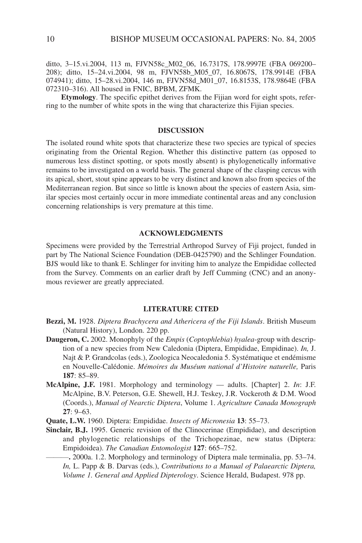ditto, 3–15.vi.2004, 113 m, FJVN58c\_M02\_06, 16.7317S, 178.9997E (FBA 069200– 208); ditto, 15–24.vi.2004, 98 m, FJVN58b\_M05\_07, 16.8067S, 178.9914E (FBA 074941); ditto, 15–28.vi.2004, 146 m, FJVN58d\_M01\_07, 16.8153S, 178.9864E (FBA 072310–316). All housed in FNIC, BPBM, ZFMK.

**Etymology**. The specific epithet derives from the Fijian word for eight spots, referring to the number of white spots in the wing that characterize this Fijian species.

### **DISCUSSION**

The isolated round white spots that characterize these two species are typical of species originating from the Oriental Region. Whether this distinctive pattern (as opposed to numerous less distinct spotting, or spots mostly absent) is phylogenetically informative remains to be investigated on a world basis. The general shape of the clasping cercus with its apical, short, stout spine appears to be very distinct and known also from species of the Mediterranean region. But since so little is known about the species of eastern Asia, similar species most certainly occur in more immediate continental areas and any conclusion concerning relationships is very premature at this time.

## **ACKNOWLEDGMENTS**

Specimens were provided by the Terrestrial Arthropod Survey of Fiji project, funded in part by The National Science Foundation (DEB-0425790) and the Schlinger Foundation. BJS would like to thank E. Schlinger for inviting him to analyze the Empididae collected from the Survey. Comments on an earlier draft by Jeff Cumming (CNC) and an anonymous reviewer are greatly appreciated.

### **LITERATURE CITED**

- **Bezzi, M.** 1928. *Diptera Brachycera and Athericera of the Fiji Islands*. British Museum (Natural History), London. 220 pp.
- **Daugeron, C.** 2002. Monophyly of the *Empis* (*Coptophlebia*) *hyalea*-group with description of a new species from New Caledonia (Diptera, Empididae, Empidinae). *In,* J. Najt & P. Grandcolas (eds.), Zoologica Neocaledonia 5. Systématique et endémisme en Nouvelle-Calédonie. *Mémoires du Muséum national d'Histoire naturelle,* Paris **187**: 85–89.
- **McAlpine, J.F.** 1981. Morphology and terminology adults. [Chapter] 2. *In*: J.F. McAlpine, B.V. Peterson, G.E. Shewell, H.J. Teskey, J.R. Vockeroth & D.M. Wood (Coords.), *Manual of Nearctic Diptera*, Volume 1. *Agriculture Canada Monograph* **27**: 9–63.
- **Quate, L.W.** 1960. Diptera: Empididae. *Insects of Micronesia* **13**: 55–73.
- **Sinclair, B.J.** 1995. Generic revision of the Clinocerinae (Empididae), and description and phylogenetic relationships of the Trichopezinae, new status (Diptera: Empidoidea). *The Canadian Entomologist* **127**: 665–752.
	- ———**.** 2000a. 1.2. Morphology and terminology of Diptera male terminalia, pp. 53–74. *In,* L. Papp & B. Darvas (eds.), *Contributions to a Manual of Palaearctic Diptera, Volume 1. General and Applied Dipterology*. Science Herald, Budapest. 978 pp.